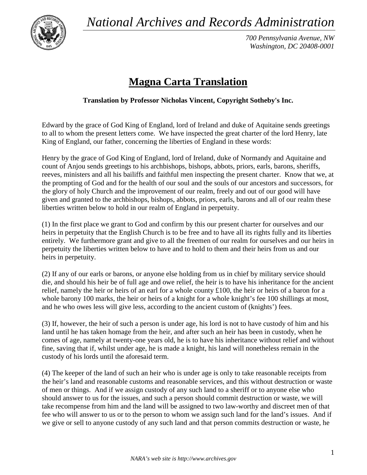*National Archives and Records Administration*



*700 Pennsylvania Avenue, NW Washington, DC 20408-0001*

## **Magna Carta Translation**

**Translation by Professor Nicholas Vincent, Copyright Sotheby's Inc.**

Edward by the grace of God King of England, lord of Ireland and duke of Aquitaine sends greetings to all to whom the present letters come. We have inspected the great charter of the lord Henry, late King of England, our father, concerning the liberties of England in these words:

Henry by the grace of God King of England, lord of Ireland, duke of Normandy and Aquitaine and count of Anjou sends greetings to his archbishops, bishops, abbots, priors, earls, barons, sheriffs, reeves, ministers and all his bailiffs and faithful men inspecting the present charter. Know that we, at the prompting of God and for the health of our soul and the souls of our ancestors and successors, for the glory of holy Church and the improvement of our realm, freely and out of our good will have given and granted to the archbishops, bishops, abbots, priors, earls, barons and all of our realm these liberties written below to hold in our realm of England in perpetuity.

(1) In the first place we grant to God and confirm by this our present charter for ourselves and our heirs in perpetuity that the English Church is to be free and to have all its rights fully and its liberties entirely. We furthermore grant and give to all the freemen of our realm for ourselves and our heirs in perpetuity the liberties written below to have and to hold to them and their heirs from us and our heirs in perpetuity.

(2) If any of our earls or barons, or anyone else holding from us in chief by military service should die, and should his heir be of full age and owe relief, the heir is to have his inheritance for the ancient relief, namely the heir or heirs of an earl for a whole county £100, the heir or heirs of a baron for a whole barony 100 marks, the heir or heirs of a knight for a whole knight's fee 100 shillings at most, and he who owes less will give less, according to the ancient custom of (knights') fees.

(3) If, however, the heir of such a person is under age, his lord is not to have custody of him and his land until he has taken homage from the heir, and after such an heir has been in custody, when he comes of age, namely at twenty-one years old, he is to have his inheritance without relief and without fine, saving that if, whilst under age, he is made a knight, his land will nonetheless remain in the custody of his lords until the aforesaid term.

(4) The keeper of the land of such an heir who is under age is only to take reasonable receipts from the heir's land and reasonable customs and reasonable services, and this without destruction or waste of men or things. And if we assign custody of any such land to a sheriff or to anyone else who should answer to us for the issues, and such a person should commit destruction or waste, we will take recompense from him and the land will be assigned to two law-worthy and discreet men of that fee who will answer to us or to the person to whom we assign such land for the land's issues. And if we give or sell to anyone custody of any such land and that person commits destruction or waste, he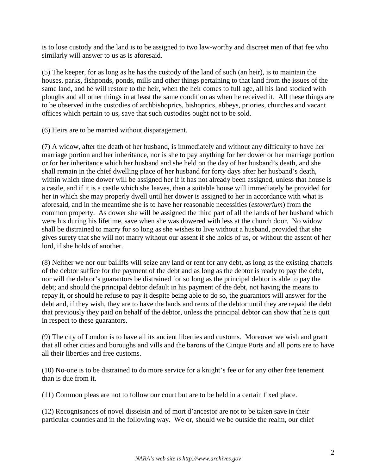is to lose custody and the land is to be assigned to two law-worthy and discreet men of that fee who similarly will answer to us as is aforesaid.

(5) The keeper, for as long as he has the custody of the land of such (an heir), is to maintain the houses, parks, fishponds, ponds, mills and other things pertaining to that land from the issues of the same land, and he will restore to the heir, when the heir comes to full age, all his land stocked with ploughs and all other things in at least the same condition as when he received it. All these things are to be observed in the custodies of archbishoprics, bishoprics, abbeys, priories, churches and vacant offices which pertain to us, save that such custodies ought not to be sold.

(6) Heirs are to be married without disparagement.

(7) A widow, after the death of her husband, is immediately and without any difficulty to have her marriage portion and her inheritance, nor is she to pay anything for her dower or her marriage portion or for her inheritance which her husband and she held on the day of her husband's death, and she shall remain in the chief dwelling place of her husband for forty days after her husband's death, within which time dower will be assigned her if it has not already been assigned, unless that house is a castle, and if it is a castle which she leaves, then a suitable house will immediately be provided for her in which she may properly dwell until her dower is assigned to her in accordance with what is aforesaid, and in the meantime she is to have her reasonable necessities (*estoverium*) from the common property. As dower she will be assigned the third part of all the lands of her husband which were his during his lifetime, save when she was dowered with less at the church door. No widow shall be distrained to marry for so long as she wishes to live without a husband, provided that she gives surety that she will not marry without our assent if she holds of us, or without the assent of her lord, if she holds of another.

(8) Neither we nor our bailiffs will seize any land or rent for any debt, as long as the existing chattels of the debtor suffice for the payment of the debt and as long as the debtor is ready to pay the debt, nor will the debtor's guarantors be distrained for so long as the principal debtor is able to pay the debt; and should the principal debtor default in his payment of the debt, not having the means to repay it, or should he refuse to pay it despite being able to do so, the guarantors will answer for the debt and, if they wish, they are to have the lands and rents of the debtor until they are repaid the debt that previously they paid on behalf of the debtor, unless the principal debtor can show that he is quit in respect to these guarantors.

(9) The city of London is to have all its ancient liberties and customs. Moreover we wish and grant that all other cities and boroughs and vills and the barons of the Cinque Ports and all ports are to have all their liberties and free customs.

(10) No-one is to be distrained to do more service for a knight's fee or for any other free tenement than is due from it.

(11) Common pleas are not to follow our court but are to be held in a certain fixed place.

(12) Recognisances of novel disseisin and of mort d'ancestor are not to be taken save in their particular counties and in the following way. We or, should we be outside the realm, our chief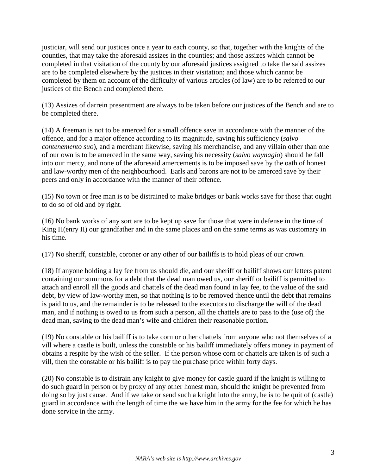justiciar, will send our justices once a year to each county, so that, together with the knights of the counties, that may take the aforesaid assizes in the counties; and those assizes which cannot be completed in that visitation of the county by our aforesaid justices assigned to take the said assizes are to be completed elsewhere by the justices in their visitation; and those which cannot be completed by them on account of the difficulty of various articles (of law) are to be referred to our justices of the Bench and completed there.

(13) Assizes of darrein presentment are always to be taken before our justices of the Bench and are to be completed there.

(14) A freeman is not to be amerced for a small offence save in accordance with the manner of the offence, and for a major offence according to its magnitude, saving his sufficiency (*salvo contenemento suo*), and a merchant likewise, saving his merchandise, and any villain other than one of our own is to be amerced in the same way, saving his necessity (*salvo waynagio*) should he fall into our mercy, and none of the aforesaid amercements is to be imposed save by the oath of honest and law-worthy men of the neighbourhood. Earls and barons are not to be amerced save by their peers and only in accordance with the manner of their offence.

(15) No town or free man is to be distrained to make bridges or bank works save for those that ought to do so of old and by right.

(16) No bank works of any sort are to be kept up save for those that were in defense in the time of King H(enry II) our grandfather and in the same places and on the same terms as was customary in his time.

(17) No sheriff, constable, coroner or any other of our bailiffs is to hold pleas of our crown.

(18) If anyone holding a lay fee from us should die, and our sheriff or bailiff shows our letters patent containing our summons for a debt that the dead man owed us, our sheriff or bailiff is permitted to attach and enroll all the goods and chattels of the dead man found in lay fee, to the value of the said debt, by view of law-worthy men, so that nothing is to be removed thence until the debt that remains is paid to us, and the remainder is to be released to the executors to discharge the will of the dead man, and if nothing is owed to us from such a person, all the chattels are to pass to the (use of) the dead man, saving to the dead man's wife and children their reasonable portion.

(19) No constable or his bailiff is to take corn or other chattels from anyone who not themselves of a vill where a castle is built, unless the constable or his bailiff immediately offers money in payment of obtains a respite by the wish of the seller. If the person whose corn or chattels are taken is of such a vill, then the constable or his bailiff is to pay the purchase price within forty days.

(20) No constable is to distrain any knight to give money for castle guard if the knight is willing to do such guard in person or by proxy of any other honest man, should the knight be prevented from doing so by just cause. And if we take or send such a knight into the army, he is to be quit of (castle) guard in accordance with the length of time the we have him in the army for the fee for which he has done service in the army.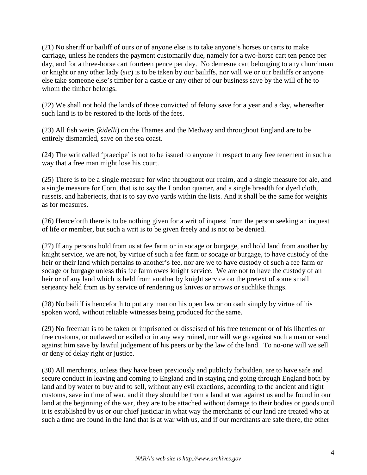(21) No sheriff or bailiff of ours or of anyone else is to take anyone's horses or carts to make carriage, unless he renders the payment customarily due, namely for a two-horse cart ten pence per day, and for a three-horse cart fourteen pence per day. No demesne cart belonging to any churchman or knight or any other lady (*sic*) is to be taken by our bailiffs, nor will we or our bailiffs or anyone else take someone else's timber for a castle or any other of our business save by the will of he to whom the timber belongs.

(22) We shall not hold the lands of those convicted of felony save for a year and a day, whereafter such land is to be restored to the lords of the fees.

(23) All fish weirs (*kidelli*) on the Thames and the Medway and throughout England are to be entirely dismantled, save on the sea coast.

(24) The writ called 'praecipe' is not to be issued to anyone in respect to any free tenement in such a way that a free man might lose his court.

(25) There is to be a single measure for wine throughout our realm, and a single measure for ale, and a single measure for Corn, that is to say the London quarter, and a single breadth for dyed cloth, russets, and haberjects, that is to say two yards within the lists. And it shall be the same for weights as for measures.

(26) Henceforth there is to be nothing given for a writ of inquest from the person seeking an inquest of life or member, but such a writ is to be given freely and is not to be denied.

(27) If any persons hold from us at fee farm or in socage or burgage, and hold land from another by knight service, we are not, by virtue of such a fee farm or socage or burgage, to have custody of the heir or their land which pertains to another's fee, nor are we to have custody of such a fee farm or socage or burgage unless this fee farm owes knight service. We are not to have the custody of an heir or of any land which is held from another by knight service on the pretext of some small serjeanty held from us by service of rendering us knives or arrows or suchlike things.

(28) No bailiff is henceforth to put any man on his open law or on oath simply by virtue of his spoken word, without reliable witnesses being produced for the same.

(29) No freeman is to be taken or imprisoned or disseised of his free tenement or of his liberties or free customs, or outlawed or exiled or in any way ruined, nor will we go against such a man or send against him save by lawful judgement of his peers or by the law of the land. To no-one will we sell or deny of delay right or justice.

(30) All merchants, unless they have been previously and publicly forbidden, are to have safe and secure conduct in leaving and coming to England and in staying and going through England both by land and by water to buy and to sell, without any evil exactions, according to the ancient and right customs, save in time of war, and if they should be from a land at war against us and be found in our land at the beginning of the war, they are to be attached without damage to their bodies or goods until it is established by us or our chief justiciar in what way the merchants of our land are treated who at such a time are found in the land that is at war with us, and if our merchants are safe there, the other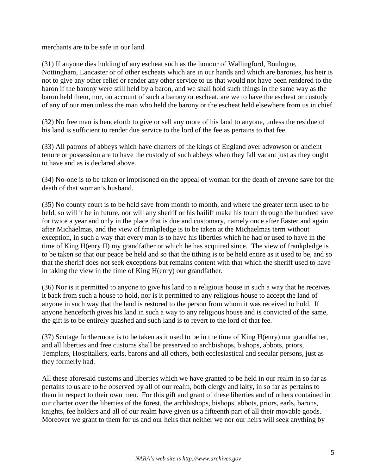merchants are to be safe in our land.

(31) If anyone dies holding of any escheat such as the honour of Wallingford, Boulogne, Nottingham, Lancaster or of other escheats which are in our hands and which are baronies, his heir is not to give any other relief or render any other service to us that would not have been rendered to the baron if the barony were still held by a baron, and we shall hold such things in the same way as the baron held them, nor, on account of such a barony or escheat, are we to have the escheat or custody of any of our men unless the man who held the barony or the escheat held elsewhere from us in chief.

(32) No free man is henceforth to give or sell any more of his land to anyone, unless the residue of his land is sufficient to render due service to the lord of the fee as pertains to that fee.

(33) All patrons of abbeys which have charters of the kings of England over advowson or ancient tenure or possession are to have the custody of such abbeys when they fall vacant just as they ought to have and as is declared above.

(34) No-one is to be taken or imprisoned on the appeal of woman for the death of anyone save for the death of that woman's husband.

(35) No county court is to be held save from month to month, and where the greater term used to be held, so will it be in future, nor will any sheriff or his bailiff make his tourn through the hundred save for twice a year and only in the place that is due and customary, namely once after Easter and again after Michaelmas, and the view of frankpledge is to be taken at the Michaelmas term without exception, in such a way that every man is to have his liberties which he had or used to have in the time of King H(enry II) my grandfather or which he has acquired since. The view of frankpledge is to be taken so that our peace be held and so that the tithing is to be held entire as it used to be, and so that the sheriff does not seek exceptions but remains content with that which the sheriff used to have in taking the view in the time of King H(enry) our grandfather.

(36) Nor is it permitted to anyone to give his land to a religious house in such a way that he receives it back from such a house to hold, nor is it permitted to any religious house to accept the land of anyone in such way that the land is restored to the person from whom it was received to hold. If anyone henceforth gives his land in such a way to any religious house and is convicted of the same, the gift is to be entirely quashed and such land is to revert to the lord of that fee.

(37) Scutage furthermore is to be taken as it used to be in the time of King H(enry) our grandfather, and all liberties and free customs shall be preserved to archbishops, bishops, abbots, priors, Templars, Hospitallers, earls, barons and all others, both ecclesiastical and secular persons, just as they formerly had.

All these aforesaid customs and liberties which we have granted to be held in our realm in so far as pertains to us are to be observed by all of our realm, both clergy and laity, in so far as pertains to them in respect to their own men. For this gift and grant of these liberties and of others contained in our charter over the liberties of the forest, the archbishops, bishops, abbots, priors, earls, barons, knights, fee holders and all of our realm have given us a fifteenth part of all their movable goods. Moreover we grant to them for us and our heirs that neither we nor our heirs will seek anything by